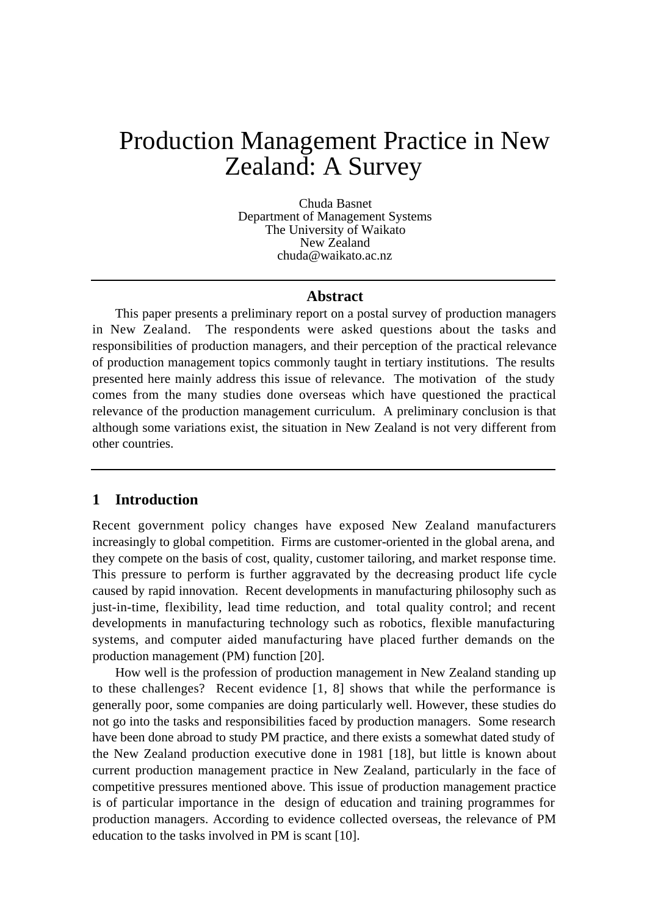# Production Management Practice in New Zealand: A Survey

Chuda Basnet Department of Management Systems The University of Waikato New Zealand chuda@waikato.ac.nz

## **Abstract**

This paper presents a preliminary report on a postal survey of production managers in New Zealand. The respondents were asked questions about the tasks and responsibilities of production managers, and their perception of the practical relevance of production management topics commonly taught in tertiary institutions. The results presented here mainly address this issue of relevance. The motivation of the study comes from the many studies done overseas which have questioned the practical relevance of the production management curriculum. A preliminary conclusion is that although some variations exist, the situation in New Zealand is not very different from other countries.

## **1 Introduction**

Recent government policy changes have exposed New Zealand manufacturers increasingly to global competition. Firms are customer-oriented in the global arena, and they compete on the basis of cost, quality, customer tailoring, and market response time. This pressure to perform is further aggravated by the decreasing product life cycle caused by rapid innovation. Recent developments in manufacturing philosophy such as just-in-time, flexibility, lead time reduction, and total quality control; and recent developments in manufacturing technology such as robotics, flexible manufacturing systems, and computer aided manufacturing have placed further demands on the production management (PM) function [20].

How well is the profession of production management in New Zealand standing up to these challenges? Recent evidence [1, 8] shows that while the performance is generally poor, some companies are doing particularly well. However, these studies do not go into the tasks and responsibilities faced by production managers. Some research have been done abroad to study PM practice, and there exists a somewhat dated study of the New Zealand production executive done in 1981 [18], but little is known about current production management practice in New Zealand, particularly in the face of competitive pressures mentioned above. This issue of production management practice is of particular importance in the design of education and training programmes for production managers. According to evidence collected overseas, the relevance of PM education to the tasks involved in PM is scant [10].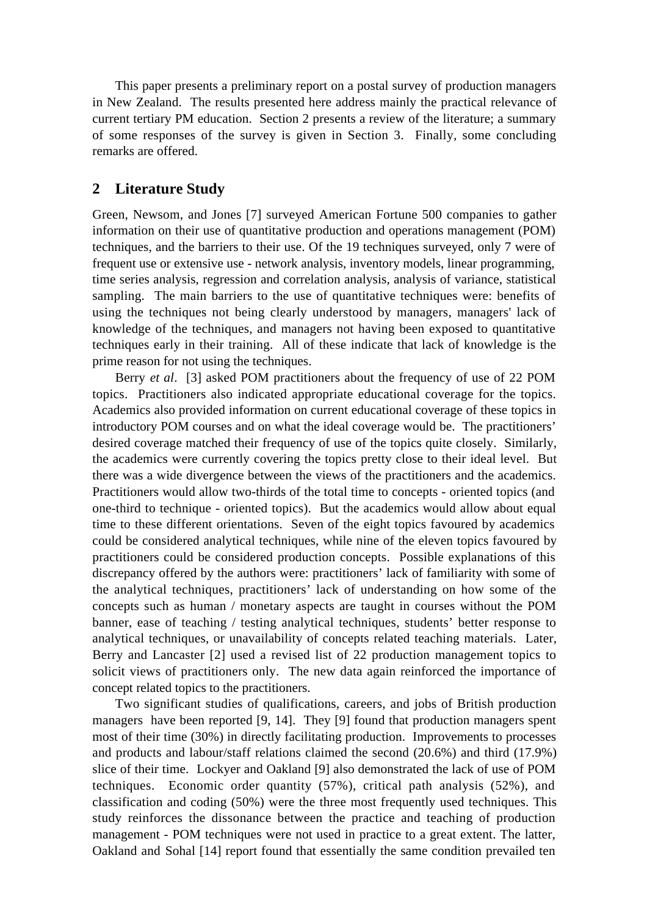This paper presents a preliminary report on a postal survey of production managers in New Zealand. The results presented here address mainly the practical relevance of current tertiary PM education. Section 2 presents a review of the literature; a summary of some responses of the survey is given in Section 3. Finally, some concluding remarks are offered.

# **2 Literature Study**

Green, Newsom, and Jones [7] surveyed American Fortune 500 companies to gather information on their use of quantitative production and operations management (POM) techniques, and the barriers to their use. Of the 19 techniques surveyed, only 7 were of frequent use or extensive use - network analysis, inventory models, linear programming, time series analysis, regression and correlation analysis, analysis of variance, statistical sampling. The main barriers to the use of quantitative techniques were: benefits of using the techniques not being clearly understood by managers, managers' lack of knowledge of the techniques, and managers not having been exposed to quantitative techniques early in their training. All of these indicate that lack of knowledge is the prime reason for not using the techniques.

Berry *et al*. [3] asked POM practitioners about the frequency of use of 22 POM topics. Practitioners also indicated appropriate educational coverage for the topics. Academics also provided information on current educational coverage of these topics in introductory POM courses and on what the ideal coverage would be. The practitioners' desired coverage matched their frequency of use of the topics quite closely. Similarly, the academics were currently covering the topics pretty close to their ideal level. But there was a wide divergence between the views of the practitioners and the academics. Practitioners would allow two-thirds of the total time to concepts - oriented topics (and one-third to technique - oriented topics). But the academics would allow about equal time to these different orientations. Seven of the eight topics favoured by academics could be considered analytical techniques, while nine of the eleven topics favoured by practitioners could be considered production concepts. Possible explanations of this discrepancy offered by the authors were: practitioners' lack of familiarity with some of the analytical techniques, practitioners' lack of understanding on how some of the concepts such as human / monetary aspects are taught in courses without the POM banner, ease of teaching / testing analytical techniques, students' better response to analytical techniques, or unavailability of concepts related teaching materials. Later, Berry and Lancaster [2] used a revised list of 22 production management topics to solicit views of practitioners only. The new data again reinforced the importance of concept related topics to the practitioners.

Two significant studies of qualifications, careers, and jobs of British production managers have been reported [9, 14]. They [9] found that production managers spent most of their time (30%) in directly facilitating production. Improvements to processes and products and labour/staff relations claimed the second (20.6%) and third (17.9%) slice of their time. Lockyer and Oakland [9] also demonstrated the lack of use of POM techniques. Economic order quantity (57%), critical path analysis (52%), and classification and coding (50%) were the three most frequently used techniques. This study reinforces the dissonance between the practice and teaching of production management - POM techniques were not used in practice to a great extent. The latter, Oakland and Sohal [14] report found that essentially the same condition prevailed ten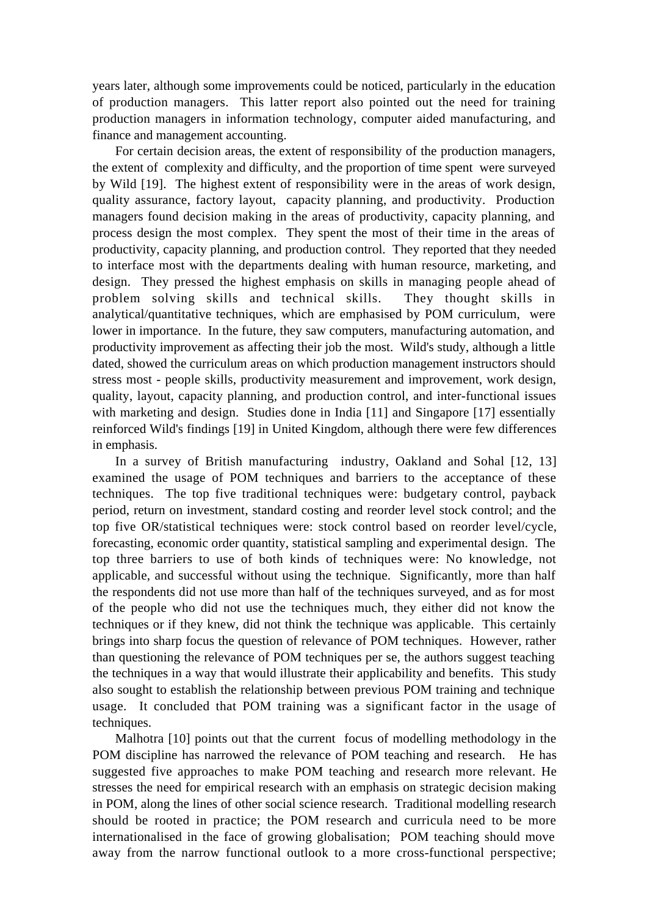years later, although some improvements could be noticed, particularly in the education of production managers. This latter report also pointed out the need for training production managers in information technology, computer aided manufacturing, and finance and management accounting.

For certain decision areas, the extent of responsibility of the production managers, the extent of complexity and difficulty, and the proportion of time spent were surveyed by Wild [19]. The highest extent of responsibility were in the areas of work design, quality assurance, factory layout, capacity planning, and productivity. Production managers found decision making in the areas of productivity, capacity planning, and process design the most complex. They spent the most of their time in the areas of productivity, capacity planning, and production control. They reported that they needed to interface most with the departments dealing with human resource, marketing, and design. They pressed the highest emphasis on skills in managing people ahead of problem solving skills and technical skills. They thought skills in analytical/quantitative techniques, which are emphasised by POM curriculum, were lower in importance. In the future, they saw computers, manufacturing automation, and productivity improvement as affecting their job the most. Wild's study, although a little dated, showed the curriculum areas on which production management instructors should stress most - people skills, productivity measurement and improvement, work design, quality, layout, capacity planning, and production control, and inter-functional issues with marketing and design. Studies done in India [11] and Singapore [17] essentially reinforced Wild's findings [19] in United Kingdom, although there were few differences in emphasis.

In a survey of British manufacturing industry, Oakland and Sohal [12, 13] examined the usage of POM techniques and barriers to the acceptance of these techniques. The top five traditional techniques were: budgetary control, payback period, return on investment, standard costing and reorder level stock control; and the top five OR/statistical techniques were: stock control based on reorder level/cycle, forecasting, economic order quantity, statistical sampling and experimental design. The top three barriers to use of both kinds of techniques were: No knowledge, not applicable, and successful without using the technique. Significantly, more than half the respondents did not use more than half of the techniques surveyed, and as for most of the people who did not use the techniques much, they either did not know the techniques or if they knew, did not think the technique was applicable. This certainly brings into sharp focus the question of relevance of POM techniques. However, rather than questioning the relevance of POM techniques per se, the authors suggest teaching the techniques in a way that would illustrate their applicability and benefits. This study also sought to establish the relationship between previous POM training and technique usage. It concluded that POM training was a significant factor in the usage of techniques.

Malhotra [10] points out that the current focus of modelling methodology in the POM discipline has narrowed the relevance of POM teaching and research. He has suggested five approaches to make POM teaching and research more relevant. He stresses the need for empirical research with an emphasis on strategic decision making in POM, along the lines of other social science research. Traditional modelling research should be rooted in practice; the POM research and curricula need to be more internationalised in the face of growing globalisation; POM teaching should move away from the narrow functional outlook to a more cross-functional perspective;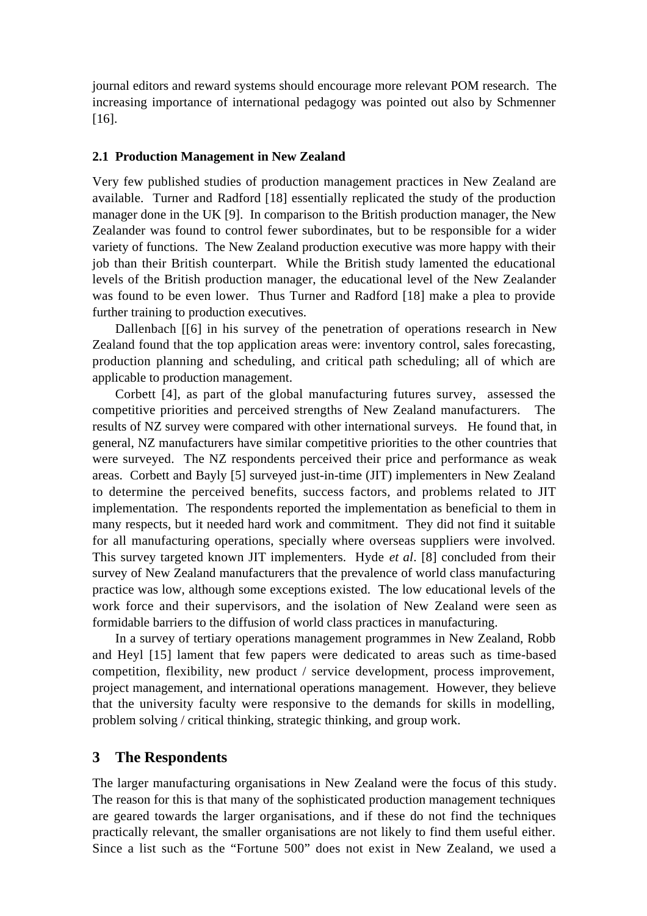journal editors and reward systems should encourage more relevant POM research. The increasing importance of international pedagogy was pointed out also by Schmenner [16].

#### **2.1 Production Management in New Zealand**

Very few published studies of production management practices in New Zealand are available. Turner and Radford [18] essentially replicated the study of the production manager done in the UK [9]. In comparison to the British production manager, the New Zealander was found to control fewer subordinates, but to be responsible for a wider variety of functions. The New Zealand production executive was more happy with their job than their British counterpart. While the British study lamented the educational levels of the British production manager, the educational level of the New Zealander was found to be even lower. Thus Turner and Radford [18] make a plea to provide further training to production executives.

Dallenbach [[6] in his survey of the penetration of operations research in New Zealand found that the top application areas were: inventory control, sales forecasting, production planning and scheduling, and critical path scheduling; all of which are applicable to production management.

Corbett [4], as part of the global manufacturing futures survey, assessed the competitive priorities and perceived strengths of New Zealand manufacturers. The results of NZ survey were compared with other international surveys. He found that, in general, NZ manufacturers have similar competitive priorities to the other countries that were surveyed. The NZ respondents perceived their price and performance as weak areas. Corbett and Bayly [5] surveyed just-in-time (JIT) implementers in New Zealand to determine the perceived benefits, success factors, and problems related to JIT implementation. The respondents reported the implementation as beneficial to them in many respects, but it needed hard work and commitment. They did not find it suitable for all manufacturing operations, specially where overseas suppliers were involved. This survey targeted known JIT implementers. Hyde *et al*. [8] concluded from their survey of New Zealand manufacturers that the prevalence of world class manufacturing practice was low, although some exceptions existed. The low educational levels of the work force and their supervisors, and the isolation of New Zealand were seen as formidable barriers to the diffusion of world class practices in manufacturing.

In a survey of tertiary operations management programmes in New Zealand, Robb and Heyl [15] lament that few papers were dedicated to areas such as time-based competition, flexibility, new product / service development, process improvement, project management, and international operations management. However, they believe that the university faculty were responsive to the demands for skills in modelling, problem solving / critical thinking, strategic thinking, and group work.

#### **3 The Respondents**

The larger manufacturing organisations in New Zealand were the focus of this study. The reason for this is that many of the sophisticated production management techniques are geared towards the larger organisations, and if these do not find the techniques practically relevant, the smaller organisations are not likely to find them useful either. Since a list such as the "Fortune 500" does not exist in New Zealand, we used a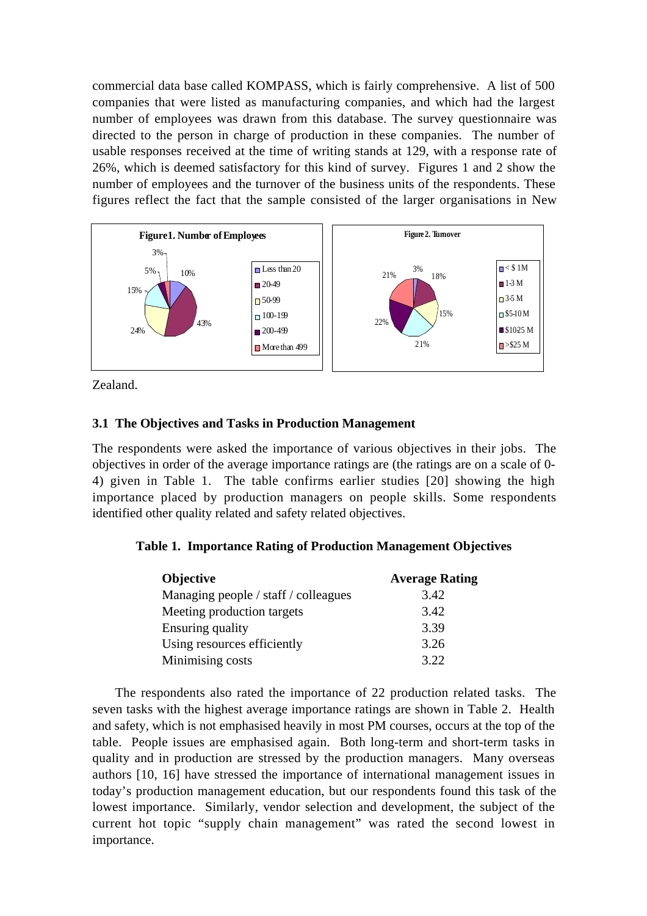commercial data base called KOMPASS, which is fairly comprehensive. A list of 500 companies that were listed as manufacturing companies, and which had the largest number of employees was drawn from this database. The survey questionnaire was directed to the person in charge of production in these companies. The number of usable responses received at the time of writing stands at 129, with a response rate of 26%, which is deemed satisfactory for this kind of survey. Figures 1 and 2 show the number of employees and the turnover of the business units of the respondents. These figures reflect the fact that the sample consisted of the larger organisations in New



Zealand.

# **3.1 The Objectives and Tasks in Production Management**

The respondents were asked the importance of various objectives in their jobs. The objectives in order of the average importance ratings are (the ratings are on a scale of 0- 4) given in Table 1. The table confirms earlier studies [20] showing the high importance placed by production managers on people skills. Some respondents identified other quality related and safety related objectives.

# **Table 1. Importance Rating of Production Management Objectives**

| <b>Objective</b>                     | <b>Average Rating</b> |
|--------------------------------------|-----------------------|
| Managing people / staff / colleagues | 3.42                  |
| Meeting production targets           | 3.42                  |
| Ensuring quality                     | 3.39                  |
| Using resources efficiently          | 3.26                  |
| Minimising costs                     | 3.22                  |

The respondents also rated the importance of 22 production related tasks. The seven tasks with the highest average importance ratings are shown in Table 2. Health and safety, which is not emphasised heavily in most PM courses, occurs at the top of the table. People issues are emphasised again. Both long-term and short-term tasks in quality and in production are stressed by the production managers. Many overseas authors [10, 16] have stressed the importance of international management issues in today's production management education, but our respondents found this task of the lowest importance. Similarly, vendor selection and development, the subject of the current hot topic "supply chain management" was rated the second lowest in importance.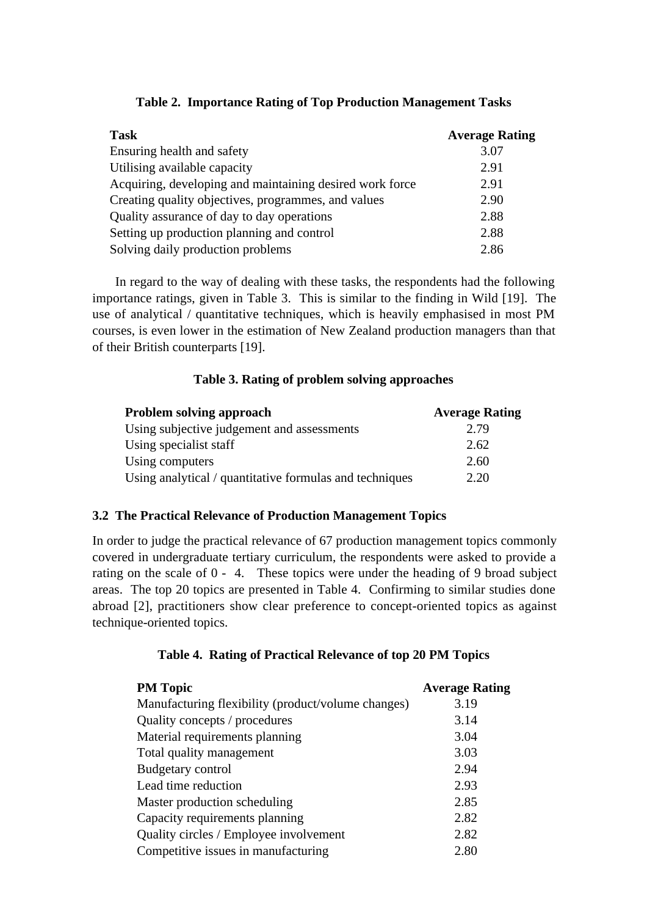| <b>Task</b>                                              | <b>Average Rating</b> |
|----------------------------------------------------------|-----------------------|
| Ensuring health and safety                               | 3.07                  |
| Utilising available capacity                             | 2.91                  |
| Acquiring, developing and maintaining desired work force | 2.91                  |
| Creating quality objectives, programmes, and values      | 2.90                  |
| Quality assurance of day to day operations               | 2.88                  |
| Setting up production planning and control               | 2.88                  |
| Solving daily production problems                        | 2.86                  |

|  |  | Table 2. Importance Rating of Top Production Management Tasks |  |
|--|--|---------------------------------------------------------------|--|
|  |  |                                                               |  |

In regard to the way of dealing with these tasks, the respondents had the following importance ratings, given in Table 3. This is similar to the finding in Wild [19]. The use of analytical / quantitative techniques, which is heavily emphasised in most PM courses, is even lower in the estimation of New Zealand production managers than that of their British counterparts [19].

# **Table 3. Rating of problem solving approaches**

| <b>Problem solving approach</b>                         | <b>Average Rating</b> |
|---------------------------------------------------------|-----------------------|
| Using subjective judgement and assessments              | 2.79                  |
| Using specialist staff                                  | 2.62                  |
| Using computers                                         | 2.60                  |
| Using analytical / quantitative formulas and techniques | 2.20                  |

## **3.2 The Practical Relevance of Production Management Topics**

In order to judge the practical relevance of 67 production management topics commonly covered in undergraduate tertiary curriculum, the respondents were asked to provide a rating on the scale of 0 - 4. These topics were under the heading of 9 broad subject areas. The top 20 topics are presented in Table 4. Confirming to similar studies done abroad [2], practitioners show clear preference to concept-oriented topics as against technique-oriented topics.

# **Table 4. Rating of Practical Relevance of top 20 PM Topics**

| <b>PM</b> Topic                                    | <b>Average Rating</b> |
|----------------------------------------------------|-----------------------|
| Manufacturing flexibility (product/volume changes) | 3.19                  |
| Quality concepts / procedures                      | 3.14                  |
| Material requirements planning                     | 3.04                  |
| Total quality management                           | 3.03                  |
| Budgetary control                                  | 2.94                  |
| Lead time reduction                                | 2.93                  |
| Master production scheduling                       | 2.85                  |
| Capacity requirements planning                     | 2.82                  |
| Quality circles / Employee involvement             | 2.82                  |
| Competitive issues in manufacturing                | 2.80                  |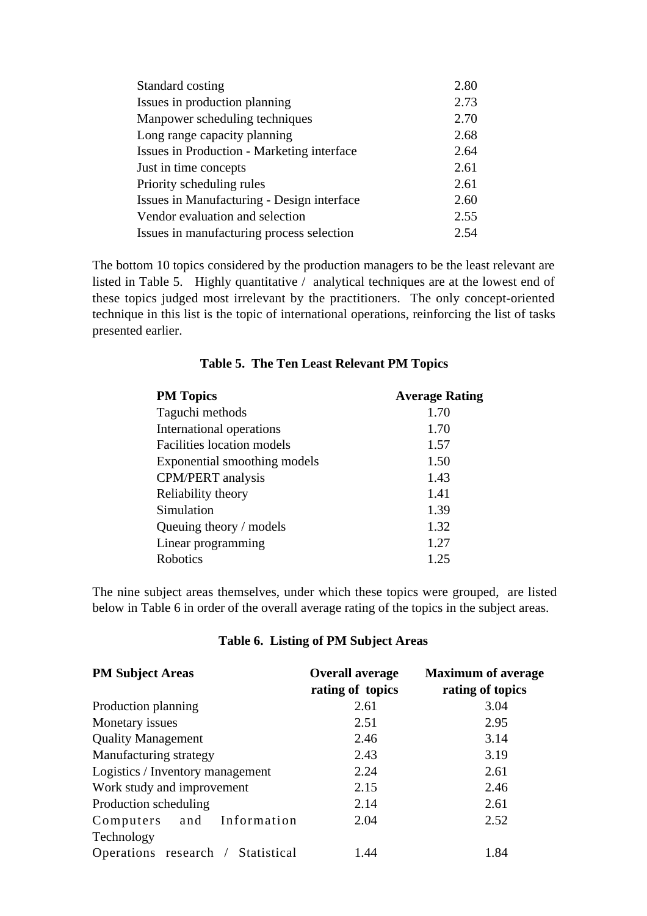| Standard costing                                  | 2.80 |
|---------------------------------------------------|------|
| Issues in production planning                     | 2.73 |
| Manpower scheduling techniques                    | 2.70 |
| Long range capacity planning                      | 2.68 |
| <b>Issues in Production - Marketing interface</b> | 2.64 |
| Just in time concepts                             | 2.61 |
| Priority scheduling rules                         | 2.61 |
| Issues in Manufacturing - Design interface        | 2.60 |
| Vendor evaluation and selection                   | 2.55 |
| Issues in manufacturing process selection         | 2.54 |

The bottom 10 topics considered by the production managers to be the least relevant are listed in Table 5. Highly quantitative / analytical techniques are at the lowest end of these topics judged most irrelevant by the practitioners. The only concept-oriented technique in this list is the topic of international operations, reinforcing the list of tasks presented earlier.

| <b>PM Topics</b>                  | <b>Average Rating</b> |
|-----------------------------------|-----------------------|
| Taguchi methods                   | 1.70                  |
| International operations          | 1.70                  |
| <b>Facilities location models</b> | 1.57                  |
| Exponential smoothing models      | 1.50                  |
| <b>CPM/PERT</b> analysis          | 1.43                  |
| Reliability theory                | 1.41                  |
| Simulation                        | 1.39                  |
| Queuing theory / models           | 1.32                  |
| Linear programming                | 1.27                  |
| Robotics                          | 1.25                  |

## **Table 5. The Ten Least Relevant PM Topics**

The nine subject areas themselves, under which these topics were grouped, are listed below in Table 6 in order of the overall average rating of the topics in the subject areas.

## **Table 6. Listing of PM Subject Areas**

| <b>PM Subject Areas</b>           | <b>Overall average</b><br>rating of topics | <b>Maximum of average</b><br>rating of topics |
|-----------------------------------|--------------------------------------------|-----------------------------------------------|
| Production planning               | 2.61                                       | 3.04                                          |
| Monetary issues                   | 2.51                                       | 2.95                                          |
| <b>Quality Management</b>         | 2.46                                       | 3.14                                          |
| Manufacturing strategy            | 2.43                                       | 3.19                                          |
| Logistics / Inventory management  | 2.24                                       | 2.61                                          |
| Work study and improvement        | 2.15                                       | 2.46                                          |
| Production scheduling             | 2.14                                       | 2.61                                          |
| Computers and Information         | 2.04                                       | 2.52                                          |
| Technology                        |                                            |                                               |
| Operations research / Statistical | 1.44                                       | 1.84                                          |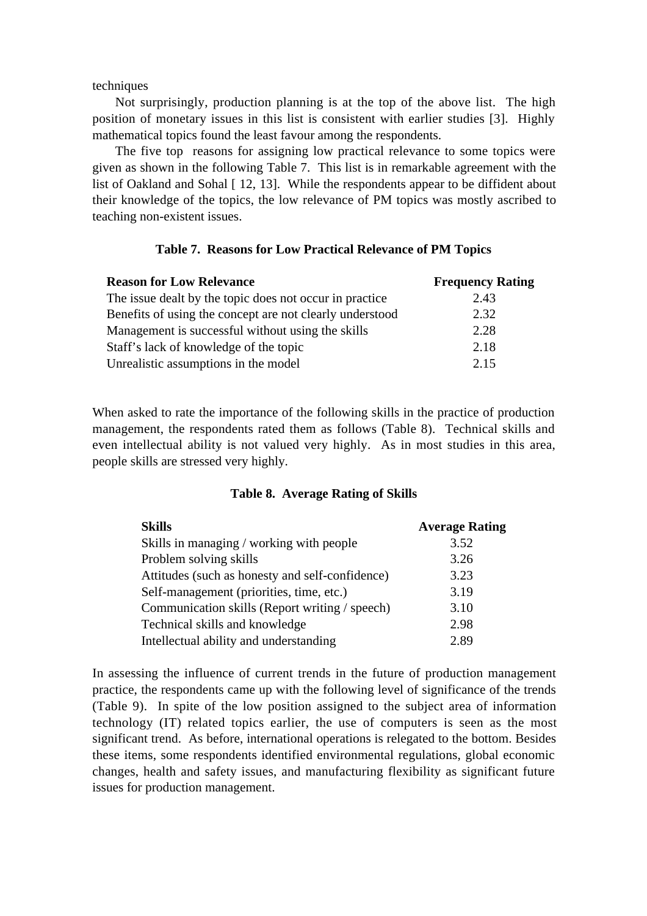techniques

Not surprisingly, production planning is at the top of the above list. The high position of monetary issues in this list is consistent with earlier studies [3]. Highly mathematical topics found the least favour among the respondents.

The five top reasons for assigning low practical relevance to some topics were given as shown in the following Table 7. This list is in remarkable agreement with the list of Oakland and Sohal [12, 13]. While the respondents appear to be diffident about their knowledge of the topics, the low relevance of PM topics was mostly ascribed to teaching non-existent issues.

#### **Table 7. Reasons for Low Practical Relevance of PM Topics**

| <b>Reason for Low Relevance</b>                          | <b>Frequency Rating</b> |
|----------------------------------------------------------|-------------------------|
| The issue dealt by the topic does not occur in practice  | 2.43                    |
| Benefits of using the concept are not clearly understood | 2.32                    |
| Management is successful without using the skills        | 2.28                    |
| Staff's lack of knowledge of the topic                   | 2.18                    |
| Unrealistic assumptions in the model                     | 2.15                    |

When asked to rate the importance of the following skills in the practice of production management, the respondents rated them as follows (Table 8). Technical skills and even intellectual ability is not valued very highly. As in most studies in this area, people skills are stressed very highly.

#### **Table 8. Average Rating of Skills**

| <b>Skills</b>                                   | <b>Average Rating</b> |
|-------------------------------------------------|-----------------------|
| Skills in managing / working with people        | 3.52                  |
| Problem solving skills                          | 3.26                  |
| Attitudes (such as honesty and self-confidence) | 3.23                  |
| Self-management (priorities, time, etc.)        | 3.19                  |
| Communication skills (Report writing / speech)  | 3.10                  |
| Technical skills and knowledge                  | 2.98                  |
| Intellectual ability and understanding          | 2.89                  |

In assessing the influence of current trends in the future of production management practice, the respondents came up with the following level of significance of the trends (Table 9). In spite of the low position assigned to the subject area of information technology (IT) related topics earlier, the use of computers is seen as the most significant trend. As before, international operations is relegated to the bottom. Besides these items, some respondents identified environmental regulations, global economic changes, health and safety issues, and manufacturing flexibility as significant future issues for production management.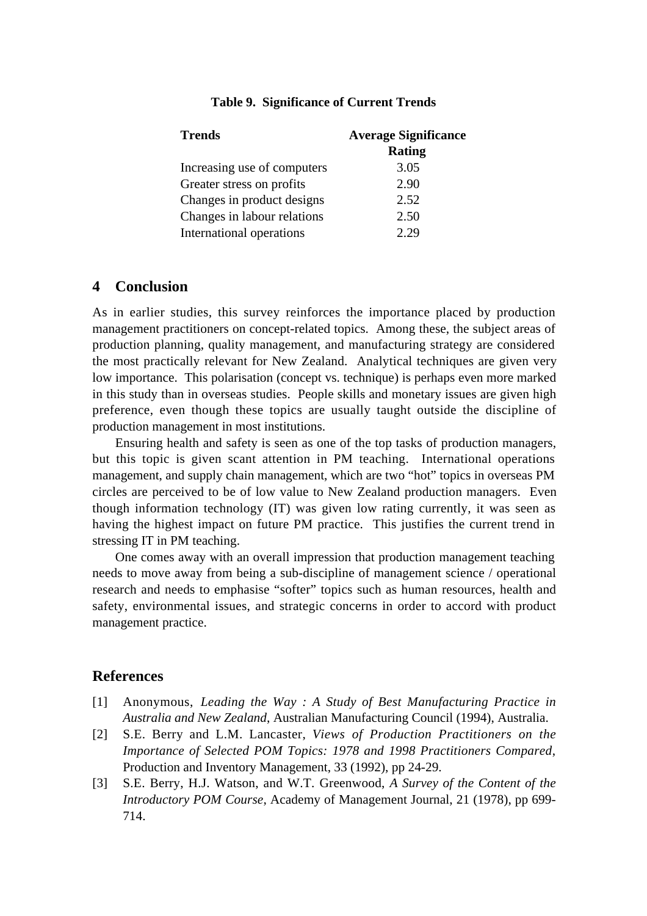| <b>Average Significance</b> |
|-----------------------------|
| <b>Rating</b>               |
| 3.05                        |
| 2.90                        |
| 2.52                        |
| 2.50                        |
| 2.29                        |
|                             |

## **Table 9. Significance of Current Trends**

## **4 Conclusion**

As in earlier studies, this survey reinforces the importance placed by production management practitioners on concept-related topics. Among these, the subject areas of production planning, quality management, and manufacturing strategy are considered the most practically relevant for New Zealand. Analytical techniques are given very low importance. This polarisation (concept vs. technique) is perhaps even more marked in this study than in overseas studies. People skills and monetary issues are given high preference, even though these topics are usually taught outside the discipline of production management in most institutions.

Ensuring health and safety is seen as one of the top tasks of production managers, but this topic is given scant attention in PM teaching. International operations management, and supply chain management, which are two "hot" topics in overseas PM circles are perceived to be of low value to New Zealand production managers. Even though information technology (IT) was given low rating currently, it was seen as having the highest impact on future PM practice. This justifies the current trend in stressing IT in PM teaching.

One comes away with an overall impression that production management teaching needs to move away from being a sub-discipline of management science / operational research and needs to emphasise "softer" topics such as human resources, health and safety, environmental issues, and strategic concerns in order to accord with product management practice.

# **References**

- [1] Anonymous, *Leading the Way : A Study of Best Manufacturing Practice in Australia and New Zealand*, Australian Manufacturing Council (1994), Australia.
- [2] S.E. Berry and L.M. Lancaster, *Views of Production Practitioners on the Importance of Selected POM Topics: 1978 and 1998 Practitioners Compared*, Production and Inventory Management, 33 (1992), pp 24-29.
- [3] S.E. Berry, H.J. Watson, and W.T. Greenwood, *A Survey of the Content of the Introductory POM Course*, Academy of Management Journal, 21 (1978), pp 699- 714.